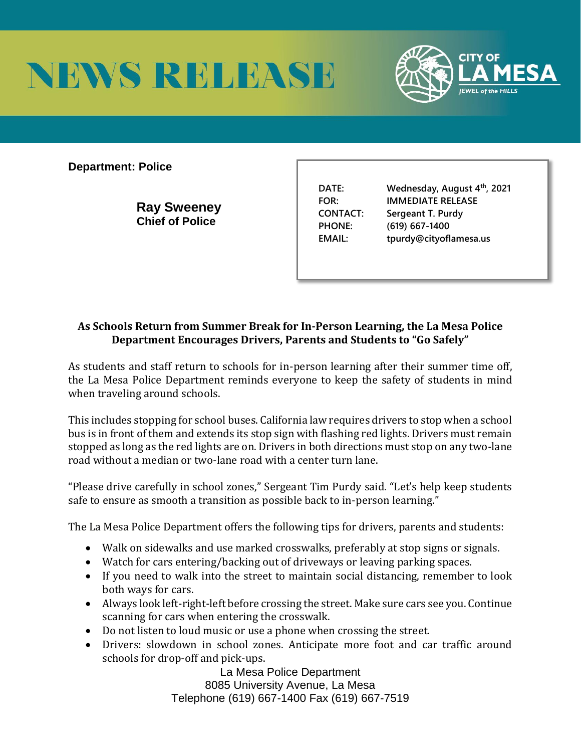



**Department: Police** 

**Ray Sweeney Chief of Police** 

**DATE: Wednesday, August 4th, 2021 FOR: IMMEDIATE RELEASE CONTACT: Sergeant T. Purdy PHONE: (619) 667-1400 EMAIL: tpurdy@cityoflamesa.us**

## **As Schools Return from Summer Break for In-Person Learning, the La Mesa Police Department Encourages Drivers, Parents and Students to "Go Safely"**

As students and staff return to schools for in-person learning after their summer time off, the La Mesa Police Department reminds everyone to keep the safety of students in mind when traveling around schools.

This includes stopping for school buses. California law requires drivers to stop when a school bus is in front of them and extends its stop sign with flashing red lights. Drivers must remain stopped as long as the red lights are on. Drivers in both directions must stop on any two-lane road without a median or two-lane road with a center turn lane.

"Please drive carefully in school zones," Sergeant Tim Purdy said. "Let's help keep students safe to ensure as smooth a transition as possible back to in-person learning."

The La Mesa Police Department offers the following tips for drivers, parents and students:

- Walk on sidewalks and use marked crosswalks, preferably at stop signs or signals.
- Watch for cars entering/backing out of driveways or leaving parking spaces.
- If you need to walk into the street to maintain social distancing, remember to look both ways for cars.
- Always look left-right-left before crossing the street. Make sure cars see you. Continue scanning for cars when entering the crosswalk.
- Do not listen to loud music or use a phone when crossing the street.
- Drivers: slowdown in school zones. Anticipate more foot and car traffic around schools for drop-off and pick-ups.

La Mesa Police Department 8085 University Avenue, La Mesa Telephone (619) 667-1400 Fax (619) 667-7519